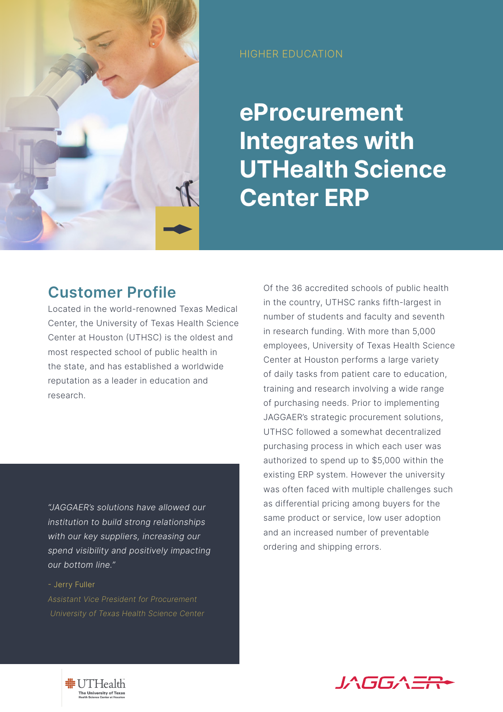

HIGHER EDUCATION

**eProcurement Integrates with UTHealth Science Center ERP** 

## **Customer Profile**

Located in the world-renowned Texas Medical Center, the University of Texas Health Science Center at Houston (UTHSC) is the oldest and most respected school of public health in the state, and has established a worldwide reputation as a leader in education and research.

*"JAGGAER's solutions have allowed our institution to build strong relationships with our key suppliers, increasing our spend visibility and positively impacting our bottom line."*

## - Jerry Fuller

*Assistant Vice President for Procurement University of Texas Health Science Center* Of the 36 accredited schools of public health in the country, UTHSC ranks fifth-largest in number of students and faculty and seventh in research funding. With more than 5,000 employees, University of Texas Health Science Center at Houston performs a large variety of daily tasks from patient care to education, training and research involving a wide range of purchasing needs. Prior to implementing JAGGAER's strategic procurement solutions, UTHSC followed a somewhat decentralized purchasing process in which each user was authorized to spend up to \$5,000 within the existing ERP system. However the university was often faced with multiple challenges such as differential pricing among buyers for the same product or service, low user adoption and an increased number of preventable ordering and shipping errors.